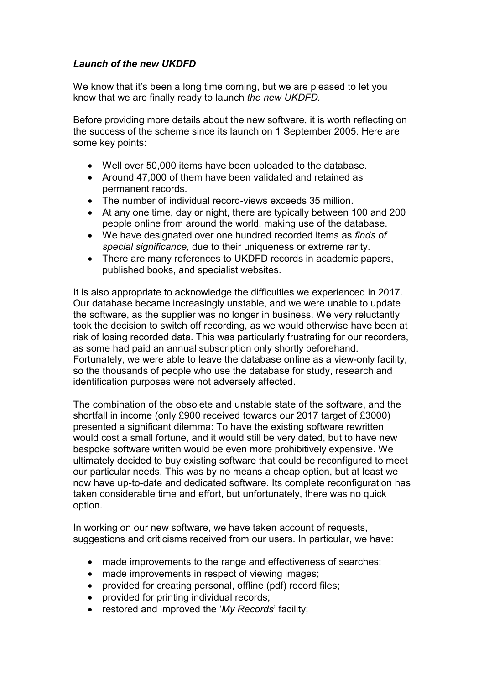## Launch of the new UKDFD

We know that it's been a long time coming, but we are pleased to let you know that we are finally ready to launch the new UKDFD.

Before providing more details about the new software, it is worth reflecting on the success of the scheme since its launch on 1 September 2005. Here are some key points:

- Well over 50,000 items have been uploaded to the database.
- Around 47,000 of them have been validated and retained as permanent records.
- The number of individual record-views exceeds 35 million.
- At any one time, day or night, there are typically between 100 and 200 people online from around the world, making use of the database.
- We have designated over one hundred recorded items as finds of special significance, due to their uniqueness or extreme rarity.
- There are many references to UKDFD records in academic papers, published books, and specialist websites.

It is also appropriate to acknowledge the difficulties we experienced in 2017. Our database became increasingly unstable, and we were unable to update the software, as the supplier was no longer in business. We very reluctantly took the decision to switch off recording, as we would otherwise have been at risk of losing recorded data. This was particularly frustrating for our recorders, as some had paid an annual subscription only shortly beforehand. Fortunately, we were able to leave the database online as a view-only facility, so the thousands of people who use the database for study, research and identification purposes were not adversely affected.

The combination of the obsolete and unstable state of the software, and the shortfall in income (only £900 received towards our 2017 target of £3000) presented a significant dilemma: To have the existing software rewritten would cost a small fortune, and it would still be very dated, but to have new bespoke software written would be even more prohibitively expensive. We ultimately decided to buy existing software that could be reconfigured to meet our particular needs. This was by no means a cheap option, but at least we now have up-to-date and dedicated software. Its complete reconfiguration has taken considerable time and effort, but unfortunately, there was no quick option.

In working on our new software, we have taken account of requests, suggestions and criticisms received from our users. In particular, we have:

- made improvements to the range and effectiveness of searches;
- made improvements in respect of viewing images;
- provided for creating personal, offline (pdf) record files;
- provided for printing individual records;
- restored and improved the 'My Records' facility;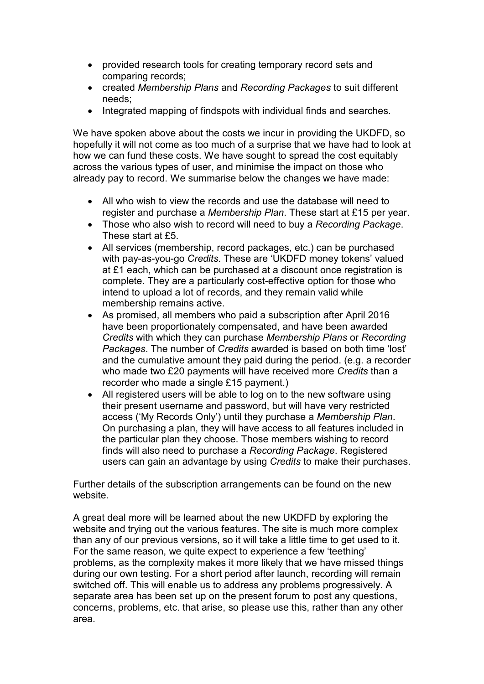- provided research tools for creating temporary record sets and comparing records;
- created Membership Plans and Recording Packages to suit different needs;
- Integrated mapping of findspots with individual finds and searches.

We have spoken above about the costs we incur in providing the UKDFD, so hopefully it will not come as too much of a surprise that we have had to look at how we can fund these costs. We have sought to spread the cost equitably across the various types of user, and minimise the impact on those who already pay to record. We summarise below the changes we have made:

- All who wish to view the records and use the database will need to register and purchase a Membership Plan. These start at £15 per year.
- Those who also wish to record will need to buy a Recording Package. These start at £5.
- All services (membership, record packages, etc.) can be purchased with pay-as-you-go Credits. These are 'UKDFD money tokens' valued at £1 each, which can be purchased at a discount once registration is complete. They are a particularly cost-effective option for those who intend to upload a lot of records, and they remain valid while membership remains active.
- As promised, all members who paid a subscription after April 2016 have been proportionately compensated, and have been awarded Credits with which they can purchase Membership Plans or Recording Packages. The number of Credits awarded is based on both time 'lost' and the cumulative amount they paid during the period. (e.g. a recorder who made two £20 payments will have received more Credits than a recorder who made a single £15 payment.)
- All registered users will be able to log on to the new software using their present username and password, but will have very restricted access ('My Records Only') until they purchase a Membership Plan. On purchasing a plan, they will have access to all features included in the particular plan they choose. Those members wishing to record finds will also need to purchase a Recording Package. Registered users can gain an advantage by using Credits to make their purchases.

Further details of the subscription arrangements can be found on the new website.

A great deal more will be learned about the new UKDFD by exploring the website and trying out the various features. The site is much more complex than any of our previous versions, so it will take a little time to get used to it. For the same reason, we quite expect to experience a few 'teething' problems, as the complexity makes it more likely that we have missed things during our own testing. For a short period after launch, recording will remain switched off. This will enable us to address any problems progressively. A separate area has been set up on the present forum to post any questions, concerns, problems, etc. that arise, so please use this, rather than any other area.